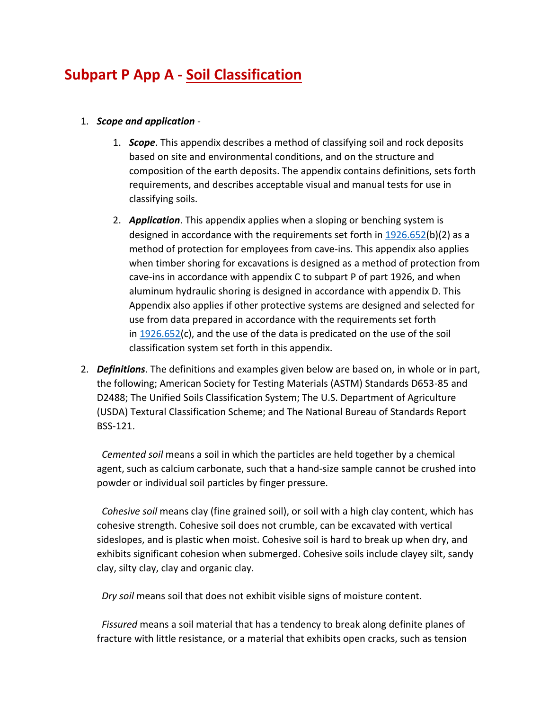# **Subpart P App A - Soil Classification**

- 1. *Scope and application*
	- 1. *Scope*. This appendix describes a method of classifying soil and rock deposits based on site and environmental conditions, and on the structure and composition of the earth deposits. The appendix contains definitions, sets forth requirements, and describes acceptable visual and manual tests for use in classifying soils.
	- 2. *Application*. This appendix applies when a sloping or benching system is designed in accordance with the requirements set forth in  $1926.652(b)(2)$  $1926.652(b)(2)$  as a method of protection for employees from cave-ins. This appendix also applies when timber shoring for excavations is designed as a method of protection from cave-ins in accordance with appendix C to subpart P of part 1926, and when aluminum hydraulic shoring is designed in accordance with appendix D. This Appendix also applies if other protective systems are designed and selected for use from data prepared in accordance with the requirements set forth in  $1926.652(c)$  $1926.652(c)$ , and the use of the data is predicated on the use of the soil classification system set forth in this appendix.
- 2. *Definitions*. The definitions and examples given below are based on, in whole or in part, the following; American Society for Testing Materials (ASTM) Standards D653-85 and D2488; The Unified Soils Classification System; The U.S. Department of Agriculture (USDA) Textural Classification Scheme; and The National Bureau of Standards Report BSS-121.

 *Cemented soil* means a soil in which the particles are held together by a chemical agent, such as calcium carbonate, such that a hand-size sample cannot be crushed into powder or individual soil particles by finger pressure.

 *Cohesive soil* means clay (fine grained soil), or soil with a high clay content, which has cohesive strength. Cohesive soil does not crumble, can be excavated with vertical sideslopes, and is plastic when moist. Cohesive soil is hard to break up when dry, and exhibits significant cohesion when submerged. Cohesive soils include clayey silt, sandy clay, silty clay, clay and organic clay.

*Dry soil* means soil that does not exhibit visible signs of moisture content.

 *Fissured* means a soil material that has a tendency to break along definite planes of fracture with little resistance, or a material that exhibits open cracks, such as tension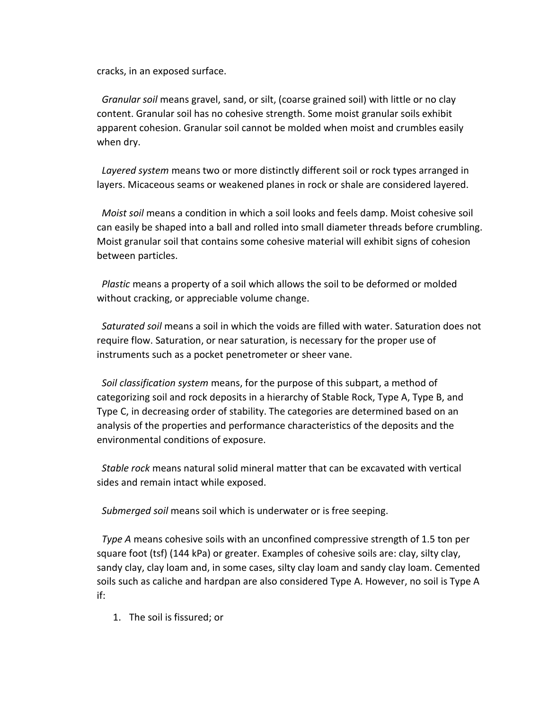cracks, in an exposed surface.

 *Granular soil* means gravel, sand, or silt, (coarse grained soil) with little or no clay content. Granular soil has no cohesive strength. Some moist granular soils exhibit apparent cohesion. Granular soil cannot be molded when moist and crumbles easily when dry.

 *Layered system* means two or more distinctly different soil or rock types arranged in layers. Micaceous seams or weakened planes in rock or shale are considered layered.

 *Moist soil* means a condition in which a soil looks and feels damp. Moist cohesive soil can easily be shaped into a ball and rolled into small diameter threads before crumbling. Moist granular soil that contains some cohesive material will exhibit signs of cohesion between particles.

 *Plastic* means a property of a soil which allows the soil to be deformed or molded without cracking, or appreciable volume change.

 *Saturated soil* means a soil in which the voids are filled with water. Saturation does not require flow. Saturation, or near saturation, is necessary for the proper use of instruments such as a pocket penetrometer or sheer vane.

 *Soil classification system* means, for the purpose of this subpart, a method of categorizing soil and rock deposits in a hierarchy of Stable Rock, Type A, Type B, and Type C, in decreasing order of stability. The categories are determined based on an analysis of the properties and performance characteristics of the deposits and the environmental conditions of exposure.

 *Stable rock* means natural solid mineral matter that can be excavated with vertical sides and remain intact while exposed.

*Submerged soil* means soil which is underwater or is free seeping.

 *Type A* means cohesive soils with an unconfined compressive strength of 1.5 ton per square foot (tsf) (144 kPa) or greater. Examples of cohesive soils are: clay, silty clay, sandy clay, clay loam and, in some cases, silty clay loam and sandy clay loam. Cemented soils such as caliche and hardpan are also considered Type A. However, no soil is Type A if:

1. The soil is fissured; or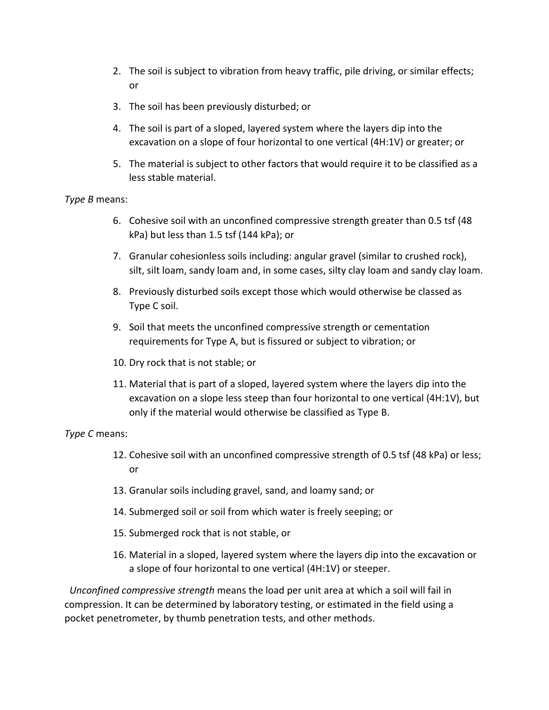- 2. The soil is subject to vibration from heavy traffic, pile driving, or similar effects; or
- 3. The soil has been previously disturbed; or
- 4. The soil is part of a sloped, layered system where the layers dip into the excavation on a slope of four horizontal to one vertical (4H:1V) or greater; or
- 5. The material is subject to other factors that would require it to be classified as a less stable material.

#### *Type B* means:

- 6. Cohesive soil with an unconfined compressive strength greater than 0.5 tsf (48 kPa) but less than 1.5 tsf (144 kPa); or
- 7. Granular cohesionless soils including: angular gravel (similar to crushed rock), silt, silt loam, sandy loam and, in some cases, silty clay loam and sandy clay loam.
- 8. Previously disturbed soils except those which would otherwise be classed as Type C soil.
- 9. Soil that meets the unconfined compressive strength or cementation requirements for Type A, but is fissured or subject to vibration; or
- 10. Dry rock that is not stable; or
- 11. Material that is part of a sloped, layered system where the layers dip into the excavation on a slope less steep than four horizontal to one vertical (4H:1V), but only if the material would otherwise be classified as Type B.

### *Type C* means:

- 12. Cohesive soil with an unconfined compressive strength of 0.5 tsf (48 kPa) or less; or
- 13. Granular soils including gravel, sand, and loamy sand; or
- 14. Submerged soil or soil from which water is freely seeping; or
- 15. Submerged rock that is not stable, or
- 16. Material in a sloped, layered system where the layers dip into the excavation or a slope of four horizontal to one vertical (4H:1V) or steeper.

 *Unconfined compressive strength* means the load per unit area at which a soil will fail in compression. It can be determined by laboratory testing, or estimated in the field using a pocket penetrometer, by thumb penetration tests, and other methods.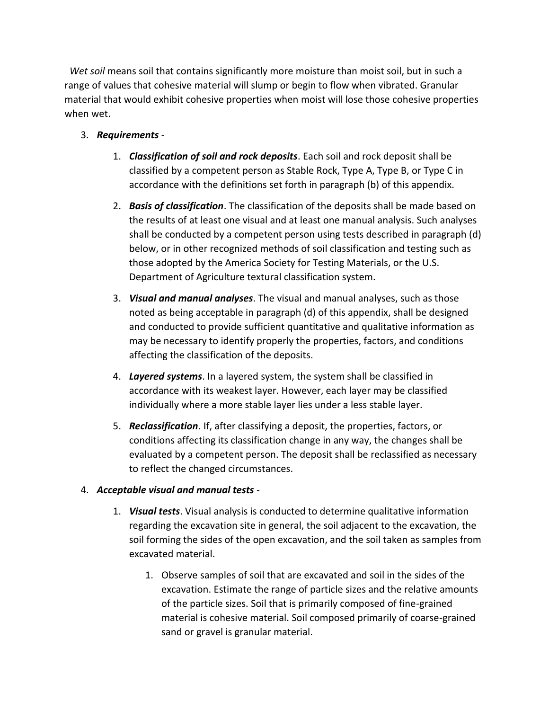*Wet soil* means soil that contains significantly more moisture than moist soil, but in such a range of values that cohesive material will slump or begin to flow when vibrated. Granular material that would exhibit cohesive properties when moist will lose those cohesive properties when wet.

## 3. *Requirements* -

- 1. *Classification of soil and rock deposits*. Each soil and rock deposit shall be classified by a competent person as Stable Rock, Type A, Type B, or Type C in accordance with the definitions set forth in paragraph (b) of this appendix.
- 2. *Basis of classification*. The classification of the deposits shall be made based on the results of at least one visual and at least one manual analysis. Such analyses shall be conducted by a competent person using tests described in paragraph (d) below, or in other recognized methods of soil classification and testing such as those adopted by the America Society for Testing Materials, or the U.S. Department of Agriculture textural classification system.
- 3. *Visual and manual analyses*. The visual and manual analyses, such as those noted as being acceptable in paragraph (d) of this appendix, shall be designed and conducted to provide sufficient quantitative and qualitative information as may be necessary to identify properly the properties, factors, and conditions affecting the classification of the deposits.
- 4. *Layered systems*. In a layered system, the system shall be classified in accordance with its weakest layer. However, each layer may be classified individually where a more stable layer lies under a less stable layer.
- 5. *Reclassification*. If, after classifying a deposit, the properties, factors, or conditions affecting its classification change in any way, the changes shall be evaluated by a competent person. The deposit shall be reclassified as necessary to reflect the changed circumstances.

### 4. *Acceptable visual and manual tests* -

- 1. *Visual tests*. Visual analysis is conducted to determine qualitative information regarding the excavation site in general, the soil adjacent to the excavation, the soil forming the sides of the open excavation, and the soil taken as samples from excavated material.
	- 1. Observe samples of soil that are excavated and soil in the sides of the excavation. Estimate the range of particle sizes and the relative amounts of the particle sizes. Soil that is primarily composed of fine-grained material is cohesive material. Soil composed primarily of coarse-grained sand or gravel is granular material.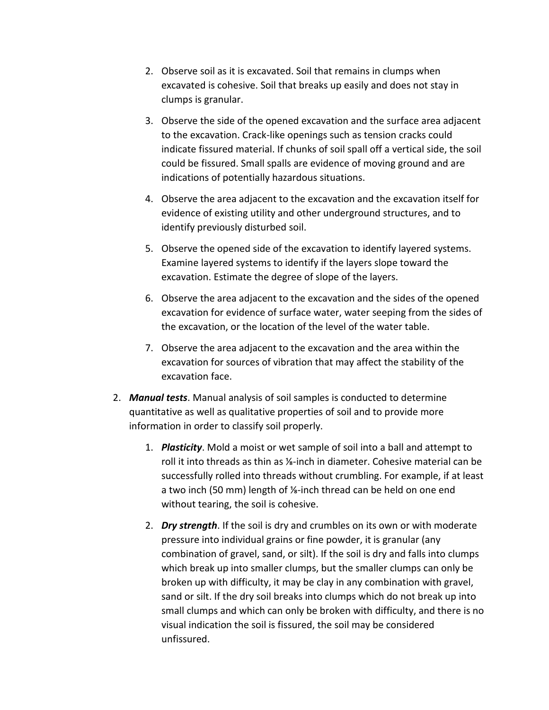- 2. Observe soil as it is excavated. Soil that remains in clumps when excavated is cohesive. Soil that breaks up easily and does not stay in clumps is granular.
- 3. Observe the side of the opened excavation and the surface area adjacent to the excavation. Crack-like openings such as tension cracks could indicate fissured material. If chunks of soil spall off a vertical side, the soil could be fissured. Small spalls are evidence of moving ground and are indications of potentially hazardous situations.
- 4. Observe the area adjacent to the excavation and the excavation itself for evidence of existing utility and other underground structures, and to identify previously disturbed soil.
- 5. Observe the opened side of the excavation to identify layered systems. Examine layered systems to identify if the layers slope toward the excavation. Estimate the degree of slope of the layers.
- 6. Observe the area adjacent to the excavation and the sides of the opened excavation for evidence of surface water, water seeping from the sides of the excavation, or the location of the level of the water table.
- 7. Observe the area adjacent to the excavation and the area within the excavation for sources of vibration that may affect the stability of the excavation face.
- 2. *Manual tests*. Manual analysis of soil samples is conducted to determine quantitative as well as qualitative properties of soil and to provide more information in order to classify soil properly.
	- 1. *Plasticity*. Mold a moist or wet sample of soil into a ball and attempt to roll it into threads as thin as ⅛-inch in diameter. Cohesive material can be successfully rolled into threads without crumbling. For example, if at least a two inch (50 mm) length of ⅛-inch thread can be held on one end without tearing, the soil is cohesive.
	- 2. *Dry strength*. If the soil is dry and crumbles on its own or with moderate pressure into individual grains or fine powder, it is granular (any combination of gravel, sand, or silt). If the soil is dry and falls into clumps which break up into smaller clumps, but the smaller clumps can only be broken up with difficulty, it may be clay in any combination with gravel, sand or silt. If the dry soil breaks into clumps which do not break up into small clumps and which can only be broken with difficulty, and there is no visual indication the soil is fissured, the soil may be considered unfissured.